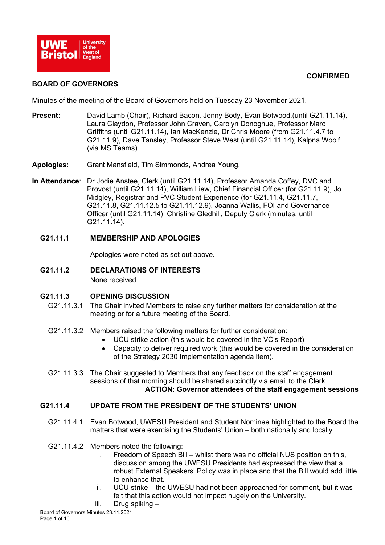

# **CONFIRMED**

## **BOARD OF GOVERNORS**

Minutes of the meeting of the Board of Governors held on Tuesday 23 November 2021.

- Present: David Lamb (Chair), Richard Bacon, Jenny Body, Evan Botwood, (until G21.11.14), Laura Claydon, Professor John Craven, Carolyn Donoghue, Professor Marc Griffiths (until G21.11.14), Ian MacKenzie, Dr Chris Moore (from G21.11.4.7 to G21.11.9), Dave Tansley, Professor Steve West (until G21.11.14), Kalpna Woolf (via MS Teams).
- **Apologies:** Grant Mansfield, Tim Simmonds, Andrea Young.
- **In Attendance**: Dr Jodie Anstee, Clerk (until G21.11.14), Professor Amanda Coffey, DVC and Provost (until G21.11.14), William Liew, Chief Financial Officer (for G21.11.9), Jo Midgley, Registrar and PVC Student Experience (for G21.11.4, G21.11.7, G21.11.8, G21.11.12.5 to G21.11.12.9), Joanna Wallis, FOI and Governance Officer (until G21.11.14), Christine Gledhill, Deputy Clerk (minutes, until G21.11.14).

# **G21.11.1 MEMBERSHIP AND APOLOGIES**

Apologies were noted as set out above.

**G21.11.2 DECLARATIONS OF INTERESTS** None received.

# **G21.11.3 OPENING DISCUSSION**

- G21.11.3.1 The Chair invited Members to raise any further matters for consideration at the meeting or for a future meeting of the Board.
- G21.11.3.2 Members raised the following matters for further consideration:
	- UCU strike action (this would be covered in the VC's Report)
	- Capacity to deliver required work (this would be covered in the consideration of the Strategy 2030 Implementation agenda item).
- G21.11.3.3 The Chair suggested to Members that any feedback on the staff engagement sessions of that morning should be shared succinctly via email to the Clerk. **ACTION: Governor attendees of the staff engagement sessions**

# **G21.11.4 UPDATE FROM THE PRESIDENT OF THE STUDENTS' UNION**

- G21.11.4.1 Evan Botwood, UWESU President and Student Nominee highlighted to the Board the matters that were exercising the Students' Union – both nationally and locally.
- G21.11.4.2 Members noted the following:
	- i. Freedom of Speech Bill whilst there was no official NUS position on this, discussion among the UWESU Presidents had expressed the view that a robust External Speakers' Policy was in place and that the Bill would add little to enhance that.
	- ii. UCU strike the UWESU had not been approached for comment, but it was felt that this action would not impact hugely on the University.
	- iii. Drug spiking –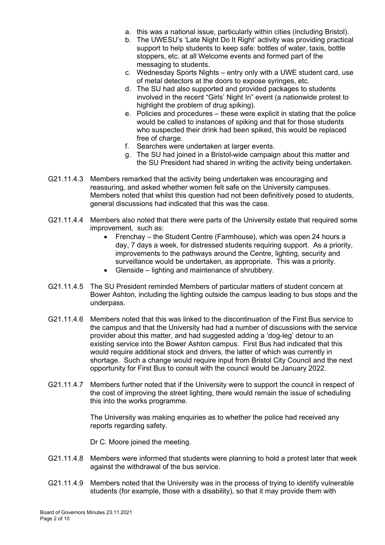- a. this was a national issue, particularly within cities (including Bristol).
- b. The UWESU's 'Late Night Do It Right' activity was providing practical support to help students to keep safe: bottles of water, taxis, bottle stoppers, etc. at all Welcome events and formed part of the messaging to students.
- c. Wednesday Sports Nights entry only with a UWE student card, use of metal detectors at the doors to expose syringes, etc.
- d. The SU had also supported and provided packages to students involved in the recent "Girls' Night In" event (a nationwide protest to highlight the problem of drug spiking).
- e. Policies and procedures these were explicit in stating that the police would be called to instances of spiking and that for those students who suspected their drink had been spiked, this would be replaced free of charge.
- f. Searches were undertaken at larger events.
- g. The SU had joined in a Bristol-wide campaign about this matter and the SU President had shared in writing the activity being undertaken.
- G21.11.4.3 Members remarked that the activity being undertaken was encouraging and reassuring, and asked whether women felt safe on the University campuses. Members noted that whilst this question had not been definitively posed to students, general discussions had indicated that this was the case.
- G21.11.4.4 Members also noted that there were parts of the University estate that required some improvement, such as:
	- Frenchay the Student Centre (Farmhouse), which was open 24 hours a day, 7 days a week, for distressed students requiring support. As a priority, improvements to the pathways around the Centre, lighting, security and surveillance would be undertaken, as appropriate. This was a priority.
	- Glenside lighting and maintenance of shrubbery.
- G21.11.4.5 The SU President reminded Members of particular matters of student concern at Bower Ashton, including the lighting outside the campus leading to bus stops and the underpass.
- G21.11.4.6 Members noted that this was linked to the discontinuation of the First Bus service to the campus and that the University had had a number of discussions with the service provider about this matter, and had suggested adding a 'dog-leg' detour to an existing service into the Bower Ashton campus. First Bus had indicated that this would require additional stock and drivers, the latter of which was currently in shortage. Such a change would require input from Bristol City Council and the next opportunity for First Bus to consult with the council would be January 2022.
- G21.11.4.7 Members further noted that if the University were to support the council in respect of the cost of improving the street lighting, there would remain the issue of scheduling this into the works programme.

The University was making enquiries as to whether the police had received any reports regarding safety.

Dr C. Moore joined the meeting.

- G21.11.4.8 Members were informed that students were planning to hold a protest later that week against the withdrawal of the bus service.
- G21.11.4.9 Members noted that the University was in the process of trying to identify vulnerable students (for example, those with a disability), so that it may provide them with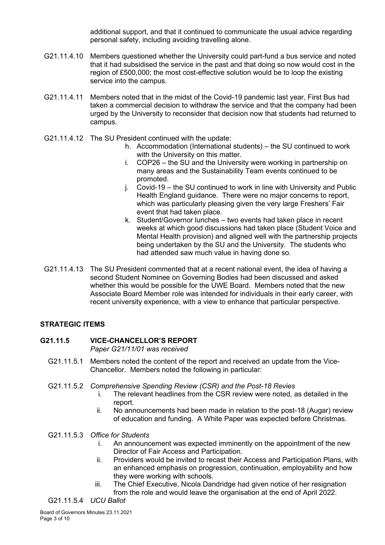additional support, and that it continued to communicate the usual advice regarding personal safety, including avoiding travelling alone.

- G21.11.4.10 Members questioned whether the University could part-fund a bus service and noted that it had subsidised the service in the past and that doing so now would cost in the region of £500,000; the most cost-effective solution would be to loop the existing service into the campus.
- G21.11.4.11 Members noted that in the midst of the Covid-19 pandemic last year, First Bus had taken a commercial decision to withdraw the service and that the company had been urged by the University to reconsider that decision now that students had returned to campus.
- G21.11.4.12 The SU President continued with the update:
	- h. Accommodation (International students) the SU continued to work with the University on this matter.
	- i. COP26 the SU and the University were working in partnership on many areas and the Sustainability Team events continued to be promoted.
	- j. Covid-19 the SU continued to work in line with University and Public Health England guidance. There were no major concerns to report, which was particularly pleasing given the very large Freshers' Fair event that had taken place.
	- k. Student/Governor lunches two events had taken place in recent weeks at which good discussions had taken place (Student Voice and Mental Health provision) and aligned well with the partnership projects being undertaken by the SU and the University. The students who had attended saw much value in having done so.
- G21.11.4.13 The SU President commented that at a recent national event, the idea of having a second Student Nominee on Governing Bodies had been discussed and asked whether this would be possible for the UWE Board. Members noted that the new Associate Board Member role was intended for individuals in their early career, with recent university experience, with a view to enhance that particular perspective.

# **STRATEGIC ITEMS**

#### **G21.11.5 VICE-CHANCELLOR'S REPORT** *Paper G21/11/01 was received*

- G21.11.5.1 Members noted the content of the report and received an update from the Vice-Chancellor. Members noted the following in particular:
- G21.11.5.2 *Comprehensive Spending Review (CSR) and the Post-18 Revies*
	- i. The relevant headlines from the CSR review were noted, as detailed in the report.
	- ii. No announcements had been made in relation to the post-18 (Augar) review of education and funding. A White Paper was expected before Christmas.

# G21.11.5.3 *Office for Students*

- i. An announcement was expected imminently on the appointment of the new Director of Fair Access and Participation.
- ii. Providers would be invited to recast their Access and Participation Plans, with an enhanced emphasis on progression, continuation, employability and how they were working with schools.
- iii. The Chief Executive, Nicola Dandridge had given notice of her resignation from the role and would leave the organisation at the end of April 2022.

G21.11.5.4 *UCU Ballot*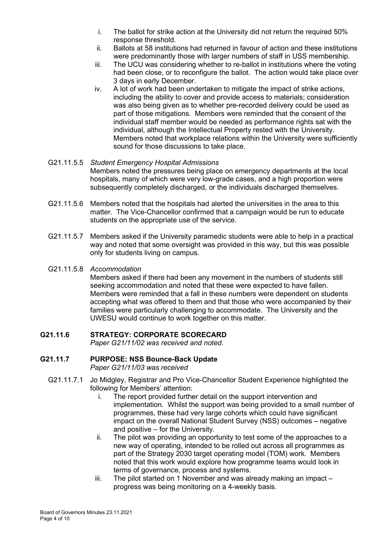- i. The ballot for strike action at the University did not return the required 50% response threshold.
- ii. Ballots at 58 institutions had returned in favour of action and these institutions were predominantly those with larger numbers of staff in USS membership.
- iii. The UCU was considering whether to re-ballot in institutions where the voting had been close, or to reconfigure the ballot. The action would take place over 3 days in early December.
- iv. A lot of work had been undertaken to mitigate the impact of strike actions, including the ability to cover and provide access to materials; consideration was also being given as to whether pre-recorded delivery could be used as part of those mitigations. Members were reminded that the consent of the individual staff member would be needed as performance rights sat with the individual, although the Intellectual Property rested with the University. Members noted that workplace relations within the University were sufficiently sound for those discussions to take place.

# G21.11.5.5 *Student Emergency Hospital Admissions* Members noted the pressures being place on emergency departments at the local hospitals, many of which were very low-grade cases, and a high proportion were subsequently completely discharged, or the individuals discharged themselves.

- G21.11.5.6 Members noted that the hospitals had alerted the universities in the area to this matter. The Vice-Chancellor confirmed that a campaign would be run to educate students on the appropriate use of the service.
- G21.11.5.7 Members asked if the University paramedic students were able to help in a practical way and noted that some oversight was provided in this way, but this was possible only for students living on campus.

# G21.11.5.8 *Accommodation*

Members asked if there had been any movement in the numbers of students still seeking accommodation and noted that these were expected to have fallen. Members were reminded that a fall in these numbers were dependent on students accepting what was offered to them and that those who were accompanied by their families were particularly challenging to accommodate. The University and the UWESU would continue to work together on this matter.

# **G21.11.6 STRATEGY: CORPORATE SCORECARD**

*Paper G21/11/02 was received and noted.*

# **G21.11.7 PURPOSE: NSS Bounce-Back Update** *Paper G21/11/03 was received*

- G21.11.7.1 Jo Midgley, Registrar and Pro Vice-Chancellor Student Experience highlighted the following for Members' attention:
	- i. The report provided further detail on the support intervention and implementation. Whilst the support was being provided to a small number of programmes, these had very large cohorts which could have significant impact on the overall National Student Survey (NSS) outcomes – negative and positive – for the University.
	- ii. The pilot was providing an opportunity to test some of the approaches to a new way of operating, intended to be rolled out across all programmes as part of the Strategy 2030 target operating model (TOM) work. Members noted that this work would explore how programme teams would look in terms of governance, process and systems.
	- iii. The pilot started on 1 November and was already making an impact progress was being monitoring on a 4-weekly basis.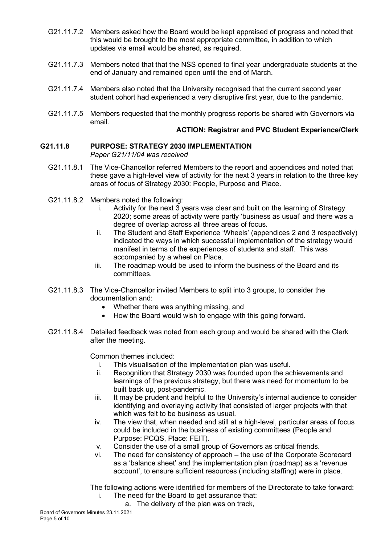- G21.11.7.2 Members asked how the Board would be kept appraised of progress and noted that this would be brought to the most appropriate committee, in addition to which updates via email would be shared, as required.
- G21.11.7.3 Members noted that that the NSS opened to final year undergraduate students at the end of January and remained open until the end of March.
- G21.11.7.4 Members also noted that the University recognised that the current second year student cohort had experienced a very disruptive first year, due to the pandemic.
- G21.11.7.5 Members requested that the monthly progress reports be shared with Governors via email.

## **ACTION: Registrar and PVC Student Experience/Clerk**

## **G21.11.8 PURPOSE: STRATEGY 2030 IMPLEMENTATION** *Paper G21/11/04 was received*

- G21.11.8.1 The Vice-Chancellor referred Members to the report and appendices and noted that these gave a high-level view of activity for the next 3 years in relation to the three key areas of focus of Strategy 2030: People, Purpose and Place.
- G21.11.8.2 Members noted the following:
	- i. Activity for the next 3 years was clear and built on the learning of Strategy 2020; some areas of activity were partly 'business as usual' and there was a degree of overlap across all three areas of focus.
	- ii. The Student and Staff Experience 'Wheels' (appendices 2 and 3 respectively) indicated the ways in which successful implementation of the strategy would manifest in terms of the experiences of students and staff. This was accompanied by a wheel on Place.
	- iii. The roadmap would be used to inform the business of the Board and its committees.
- G21.11.8.3 The Vice-Chancellor invited Members to split into 3 groups, to consider the documentation and:
	- Whether there was anything missing, and
	- How the Board would wish to engage with this going forward.
- G21.11.8.4 Detailed feedback was noted from each group and would be shared with the Clerk after the meeting.

Common themes included:

- i. This visualisation of the implementation plan was useful.<br>ii Becognition that Strategy 2030 was founded upon the ac
- Recognition that Strategy 2030 was founded upon the achievements and learnings of the previous strategy, but there was need for momentum to be built back up, post-pandemic.
- iii. It may be prudent and helpful to the University's internal audience to consider identifying and overlaying activity that consisted of larger projects with that which was felt to be business as usual.
- iv. The view that, when needed and still at a high-level, particular areas of focus could be included in the business of existing committees (People and Purpose: PCQS, Place: FEIT).
- v. Consider the use of a small group of Governors as critical friends.
- vi. The need for consistency of approach the use of the Corporate Scorecard as a 'balance sheet' and the implementation plan (roadmap) as a 'revenue account', to ensure sufficient resources (including staffing) were in place.

The following actions were identified for members of the Directorate to take forward:

- i. The need for the Board to get assurance that:
	- a. The delivery of the plan was on track,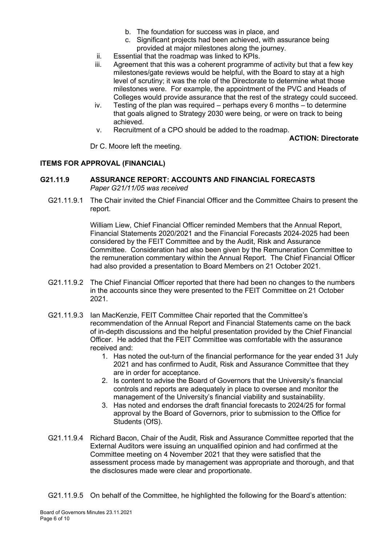- b. The foundation for success was in place, and
- c. Significant projects had been achieved, with assurance being provided at major milestones along the journey.
- ii. Essential that the roadmap was linked to KPIs.
- iii. Agreement that this was a coherent programme of activity but that a few key milestones/gate reviews would be helpful, with the Board to stay at a high level of scrutiny; it was the role of the Directorate to determine what those milestones were. For example, the appointment of the PVC and Heads of Colleges would provide assurance that the rest of the strategy could succeed.
- iv. Testing of the plan was required perhaps every 6 months to determine that goals aligned to Strategy 2030 were being, or were on track to being achieved.
- v. Recruitment of a CPO should be added to the roadmap.

## **ACTION: Directorate**

Dr C. Moore left the meeting.

# **ITEMS FOR APPROVAL (FINANCIAL)**

## **G21.11.9 ASSURANCE REPORT: ACCOUNTS AND FINANCIAL FORECASTS** *Paper G21/11/05 was received*

G21.11.9.1 The Chair invited the Chief Financial Officer and the Committee Chairs to present the report.

> William Liew, Chief Financial Officer reminded Members that the Annual Report, Financial Statements 2020/2021 and the Financial Forecasts 2024-2025 had been considered by the FEIT Committee and by the Audit, Risk and Assurance Committee. Consideration had also been given by the Remuneration Committee to the remuneration commentary within the Annual Report. The Chief Financial Officer had also provided a presentation to Board Members on 21 October 2021.

- G21.11.9.2 The Chief Financial Officer reported that there had been no changes to the numbers in the accounts since they were presented to the FEIT Committee on 21 October 2021.
- G21.11.9.3 Ian MacKenzie, FEIT Committee Chair reported that the Committee's recommendation of the Annual Report and Financial Statements came on the back of in-depth discussions and the helpful presentation provided by the Chief Financial Officer. He added that the FEIT Committee was comfortable with the assurance received and:
	- 1. Has noted the out-turn of the financial performance for the year ended 31 July 2021 and has confirmed to Audit, Risk and Assurance Committee that they are in order for acceptance.
	- 2. Is content to advise the Board of Governors that the University's financial controls and reports are adequately in place to oversee and monitor the management of the University's financial viability and sustainability.
	- 3. Has noted and endorses the draft financial forecasts to 2024/25 for formal approval by the Board of Governors, prior to submission to the Office for Students (OfS).
- G21.11.9.4 Richard Bacon, Chair of the Audit, Risk and Assurance Committee reported that the External Auditors were issuing an unqualified opinion and had confirmed at the Committee meeting on 4 November 2021 that they were satisfied that the assessment process made by management was appropriate and thorough, and that the disclosures made were clear and proportionate.

G21.11.9.5 On behalf of the Committee, he highlighted the following for the Board's attention: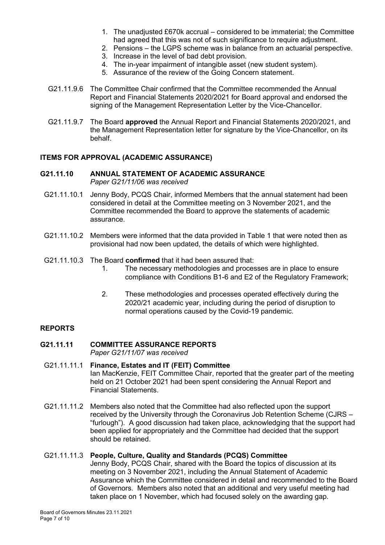- 1. The unadjusted £670k accrual considered to be immaterial; the Committee had agreed that this was not of such significance to require adjustment.
- 2. Pensions the LGPS scheme was in balance from an actuarial perspective.
- 3. Increase in the level of bad debt provision.
- 4. The in-year impairment of intangible asset (new student system).
- 5. Assurance of the review of the Going Concern statement.
- G21.11.9.6 The Committee Chair confirmed that the Committee recommended the Annual Report and Financial Statements 2020/2021 for Board approval and endorsed the signing of the Management Representation Letter by the Vice-Chancellor.
- G21.11.9.7 The Board **approved** the Annual Report and Financial Statements 2020/2021, and the Management Representation letter for signature by the Vice-Chancellor, on its behalf.

## **ITEMS FOR APPROVAL (ACADEMIC ASSURANCE)**

#### **G21.11.10 ANNUAL STATEMENT OF ACADEMIC ASSURANCE** *Paper G21/11/06 was received*

- G21.11.10.1 Jenny Body, PCQS Chair, informed Members that the annual statement had been considered in detail at the Committee meeting on 3 November 2021, and the Committee recommended the Board to approve the statements of academic assurance.
- G21.11.10.2 Members were informed that the data provided in Table 1 that were noted then as provisional had now been updated, the details of which were highlighted.
- G21.11.10.3 The Board **confirmed** that it had been assured that:
	- 1. The necessary methodologies and processes are in place to ensure compliance with Conditions B1-6 and E2 of the Regulatory Framework;
	- 2. These methodologies and processes operated effectively during the 2020/21 academic year, including during the period of disruption to normal operations caused by the Covid-19 pandemic.

#### **REPORTS**

## **G21.11.11 COMMITTEE ASSURANCE REPORTS**

*Paper G21/11/07 was received*

## G21.11.11.1 **Finance, Estates and IT (FEIT) Committee** Ian MacKenzie, FEIT Committee Chair, reported that the greater part of the meeting held on 21 October 2021 had been spent considering the Annual Report and Financial Statements.

G21.11.11.2 Members also noted that the Committee had also reflected upon the support received by the University through the Coronavirus Job Retention Scheme (CJRS – "furlough"). A good discussion had taken place, acknowledging that the support had been applied for appropriately and the Committee had decided that the support should be retained.

#### G21.11.11.3 **People, Culture, Quality and Standards (PCQS) Committee**

Jenny Body, PCQS Chair, shared with the Board the topics of discussion at its meeting on 3 November 2021, including the Annual Statement of Academic Assurance which the Committee considered in detail and recommended to the Board of Governors. Members also noted that an additional and very useful meeting had taken place on 1 November, which had focused solely on the awarding gap.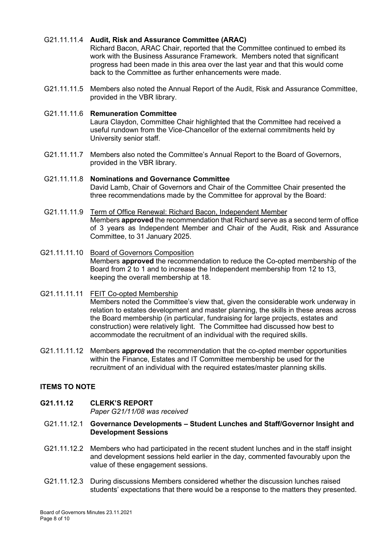# G21.11.11.4 **Audit, Risk and Assurance Committee (ARAC)**

Richard Bacon, ARAC Chair, reported that the Committee continued to embed its work with the Business Assurance Framework. Members noted that significant progress had been made in this area over the last year and that this would come back to the Committee as further enhancements were made.

G21.11.11.5 Members also noted the Annual Report of the Audit, Risk and Assurance Committee, provided in the VBR library.

## G21.11.11.6 **Remuneration Committee**

Laura Claydon, Committee Chair highlighted that the Committee had received a useful rundown from the Vice-Chancellor of the external commitments held by University senior staff.

- G21.11.11.7 Members also noted the Committee's Annual Report to the Board of Governors, provided in the VBR library.
- G21.11.11.8 **Nominations and Governance Committee** David Lamb, Chair of Governors and Chair of the Committee Chair presented the three recommendations made by the Committee for approval by the Board:
- G21.11.11.9 Term of Office Renewal: Richard Bacon, Independent Member Members **approved** the recommendation that Richard serve as a second term of office of 3 years as Independent Member and Chair of the Audit, Risk and Assurance Committee, to 31 January 2025.
- G21.11.11.10 Board of Governors Composition Members **approved** the recommendation to reduce the Co-opted membership of the Board from 2 to 1 and to increase the Independent membership from 12 to 13, keeping the overall membership at 18.
- G21.11.11.11 FEIT Co-opted Membership Members noted the Committee's view that, given the considerable work underway in relation to estates development and master planning, the skills in these areas across the Board membership (in particular, fundraising for large projects, estates and construction) were relatively light. The Committee had discussed how best to accommodate the recruitment of an individual with the required skills.
- G21.11.11.12 Members **approved** the recommendation that the co-opted member opportunities within the Finance, Estates and IT Committee membership be used for the recruitment of an individual with the required estates/master planning skills.

# **ITEMS TO NOTE**

# **G21.11.12 CLERK'S REPORT**

*Paper G21/11/08 was received* 

- G21.11.12.1 **Governance Developments – Student Lunches and Staff/Governor Insight and Development Sessions**
- G21.11.12.2 Members who had participated in the recent student lunches and in the staff insight and development sessions held earlier in the day, commented favourably upon the value of these engagement sessions.
- G21.11.12.3 During discussions Members considered whether the discussion lunches raised students' expectations that there would be a response to the matters they presented.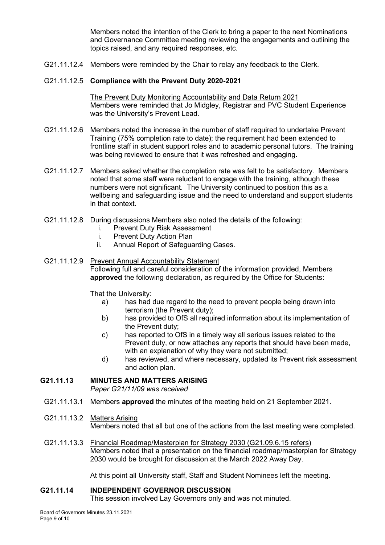Members noted the intention of the Clerk to bring a paper to the next Nominations and Governance Committee meeting reviewing the engagements and outlining the topics raised, and any required responses, etc.

G21.11.12.4 Members were reminded by the Chair to relay any feedback to the Clerk.

## G21.11.12.5 **Compliance with the Prevent Duty 2020-2021**

The Prevent Duty Monitoring Accountability and Data Return 2021 Members were reminded that Jo Midgley, Registrar and PVC Student Experience was the University's Prevent Lead.

- G21.11.12.6 Members noted the increase in the number of staff required to undertake Prevent Training (75% completion rate to date); the requirement had been extended to frontline staff in student support roles and to academic personal tutors. The training was being reviewed to ensure that it was refreshed and engaging.
- G21.11.12.7 Members asked whether the completion rate was felt to be satisfactory. Members noted that some staff were reluctant to engage with the training, although these numbers were not significant. The University continued to position this as a wellbeing and safeguarding issue and the need to understand and support students in that context.
- G21.11.12.8 During discussions Members also noted the details of the following:
	- i. Prevent Duty Risk Assessment
	- i. Prevent Duty Action Plan
	- ii. Annual Report of Safeguarding Cases.

# G21.11.12.9 Prevent Annual Accountability Statement Following full and careful consideration of the information provided, Members **approved** the following declaration, as required by the Office for Students:

That the University:

- a) has had due regard to the need to prevent people being drawn into terrorism (the Prevent duty);
- b) has provided to OfS all required information about its implementation of the Prevent duty;
- c) has reported to OfS in a timely way all serious issues related to the Prevent duty, or now attaches any reports that should have been made, with an explanation of why they were not submitted:
- d) has reviewed, and where necessary, updated its Prevent risk assessment and action plan.

## **G21.11.13 MINUTES AND MATTERS ARISING**

*Paper G21/11/09 was received*

- G21.11.13.1 Members **approved** the minutes of the meeting held on 21 September 2021.
- G21.11.13.2 Matters Arising Members noted that all but one of the actions from the last meeting were completed.
- G21.11.13.3 Financial Roadmap/Masterplan for Strategy 2030 (G21.09.6.15 refers) Members noted that a presentation on the financial roadmap/masterplan for Strategy 2030 would be brought for discussion at the March 2022 Away Day.

At this point all University staff, Staff and Student Nominees left the meeting.

#### **G21.11.14 INDEPENDENT GOVERNOR DISCUSSION**

This session involved Lay Governors only and was not minuted.